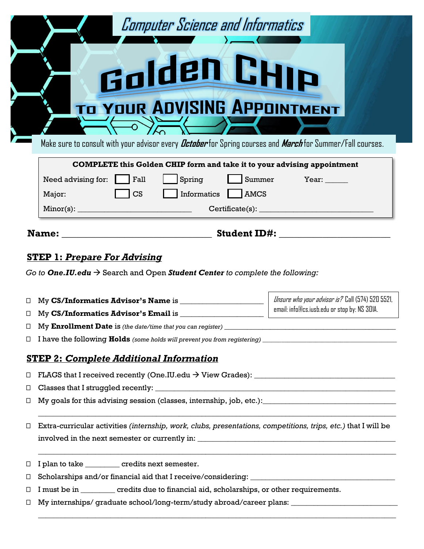| <b>Computer Science and Informatics</b><br>Golden CHIP<br><b>TO YOUR ADVISING APPOINTMENT</b><br>Make sure to consult with your advisor every <i>October</i> for Spring courses and <i>March</i> for Summer/Fall courses. |  |
|---------------------------------------------------------------------------------------------------------------------------------------------------------------------------------------------------------------------------|--|
| <b>COMPLETE</b> this Golden CHIP form and take it to your advising appointment                                                                                                                                            |  |

| Need advising for:<br>$\vert$ Fall    | Spring<br>Summer             | Year: |
|---------------------------------------|------------------------------|-------|
| $\overline{\phantom{a}}$ CS<br>Major: | Informatics L<br><b>AMCS</b> |       |
| Minor(s):                             | $\text{Certificance}(s):$    |       |

**Name:** \_\_\_\_\_\_\_\_\_\_\_\_\_\_\_\_\_\_\_\_\_\_\_\_\_\_\_\_\_\_\_ **Student ID#:** \_\_\_\_\_\_\_\_\_\_\_\_\_\_\_\_\_\_\_\_\_\_\_

Unsure who your advisor is? Call (574) 520 5521, email: info@cs.iusb.edu or stop by: NS 301A.

# **STEP 1:** *Prepare For Advising*

*Go to One.IU.edu*  $\rightarrow$  Search and Open *Student Center to complete the following:* 

⎕ My **CS/Informatics Advisor's Name** is \_\_\_\_\_\_\_\_\_\_\_\_\_\_\_\_\_\_\_\_\_\_

□ My CS/Informatics Advisor's Email is

⎕ My **Enrollment Date** is *(the date/time that you can register)* \_\_\_\_\_\_\_\_\_\_\_\_\_\_\_\_\_\_\_\_\_\_\_\_\_\_\_\_\_\_\_\_\_\_\_\_\_\_\_\_\_\_\_\_\_

⎕ I have the following **Holds** *(some holds will prevent you from registering) \_\_\_\_\_\_*\_\_\_\_\_\_\_\_\_\_\_\_\_\_\_\_\_\_\_\_\_\_\_\_\_\_\_\_\_\_\_\_\_\_\_\_\_

# **STEP 2:** *Complete Additional Information*

 $\Box$  FLAGS that I received recently (One.IU.edu  $\rightarrow$  View Grades):

 $\Box$  Classes that I struggled recently:  $\Box$ 

 $\Box$  My goals for this advising session (classes, internship, job, etc.):

⎕ Extra-curricular activities *(internship, work, clubs, presentations, competitions, trips, etc.)* that I will be involved in the next semester or currently in: \_\_\_\_\_\_\_\_\_\_\_\_\_\_\_\_\_\_\_\_\_\_\_\_\_\_\_\_\_\_\_\_\_\_\_\_\_\_\_\_\_\_\_\_\_\_\_\_\_\_\_\_

\_\_\_\_\_\_\_\_\_\_\_\_\_\_\_\_\_\_\_\_\_\_\_\_\_\_\_\_\_\_\_\_\_\_\_\_\_\_\_\_\_\_\_\_\_\_\_\_\_\_\_\_\_\_\_\_\_\_\_\_\_\_\_\_\_\_\_\_\_\_\_\_\_\_\_\_\_\_\_\_\_\_\_\_\_\_\_\_\_\_\_\_\_\_

\_\_\_\_\_\_\_\_\_\_\_\_\_\_\_\_\_\_\_\_\_\_\_\_\_\_\_\_\_\_\_\_\_\_\_\_\_\_\_\_\_\_\_\_\_\_\_\_\_\_\_\_\_\_\_\_\_\_\_\_\_\_\_\_\_\_\_\_\_\_\_\_\_\_\_\_\_\_\_\_\_\_\_\_\_\_\_\_\_\_\_\_\_\_

\_\_\_\_\_\_\_\_\_\_\_\_\_\_\_\_\_\_\_\_\_\_\_\_\_\_\_\_\_\_\_\_\_\_\_\_\_\_\_\_\_\_\_\_\_\_\_\_\_\_\_\_\_\_\_\_\_\_\_\_\_\_\_\_\_\_\_\_\_\_\_\_\_\_\_\_\_\_\_\_\_\_\_\_\_\_\_\_\_\_\_\_\_\_

⎕ I plan to take \_\_\_\_\_\_\_\_\_ credits next semester.

□ Scholarships and/or financial aid that I receive/considering: \_\_\_\_\_\_\_\_\_\_\_\_\_\_\_

- ⎕ I must be in \_\_\_\_\_\_\_\_\_ credits due to financial aid, scholarships, or other requirements.
- $\Box$  My internships/ graduate school/long-term/study abroad/career plans:  $\Box$